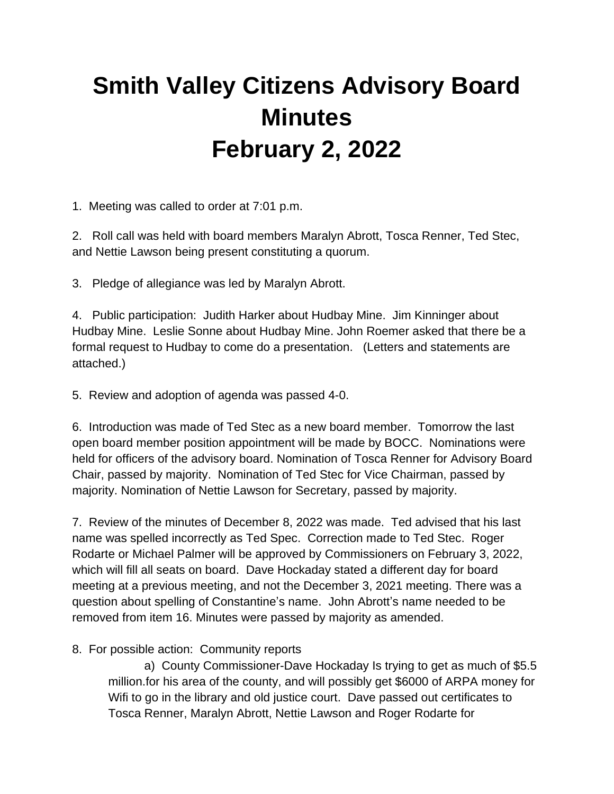## **Smith Valley Citizens Advisory Board Minutes February 2, 2022**

1. Meeting was called to order at 7:01 p.m.

2. Roll call was held with board members Maralyn Abrott, Tosca Renner, Ted Stec, and Nettie Lawson being present constituting a quorum.

3. Pledge of allegiance was led by Maralyn Abrott.

4. Public participation: Judith Harker about Hudbay Mine. Jim Kinninger about Hudbay Mine. Leslie Sonne about Hudbay Mine. John Roemer asked that there be a formal request to Hudbay to come do a presentation. (Letters and statements are attached.)

5. Review and adoption of agenda was passed 4-0.

6. Introduction was made of Ted Stec as a new board member. Tomorrow the last open board member position appointment will be made by BOCC. Nominations were held for officers of the advisory board. Nomination of Tosca Renner for Advisory Board Chair, passed by majority. Nomination of Ted Stec for Vice Chairman, passed by majority. Nomination of Nettie Lawson for Secretary, passed by majority.

7. Review of the minutes of December 8, 2022 was made. Ted advised that his last name was spelled incorrectly as Ted Spec. Correction made to Ted Stec. Roger Rodarte or Michael Palmer will be approved by Commissioners on February 3, 2022, which will fill all seats on board. Dave Hockaday stated a different day for board meeting at a previous meeting, and not the December 3, 2021 meeting. There was a question about spelling of Constantine's name. John Abrott's name needed to be removed from item 16. Minutes were passed by majority as amended.

8. For possible action: Community reports

a) County Commissioner-Dave Hockaday Is trying to get as much of \$5.5 million.for his area of the county, and will possibly get \$6000 of ARPA money for Wifi to go in the library and old justice court. Dave passed out certificates to Tosca Renner, Maralyn Abrott, Nettie Lawson and Roger Rodarte for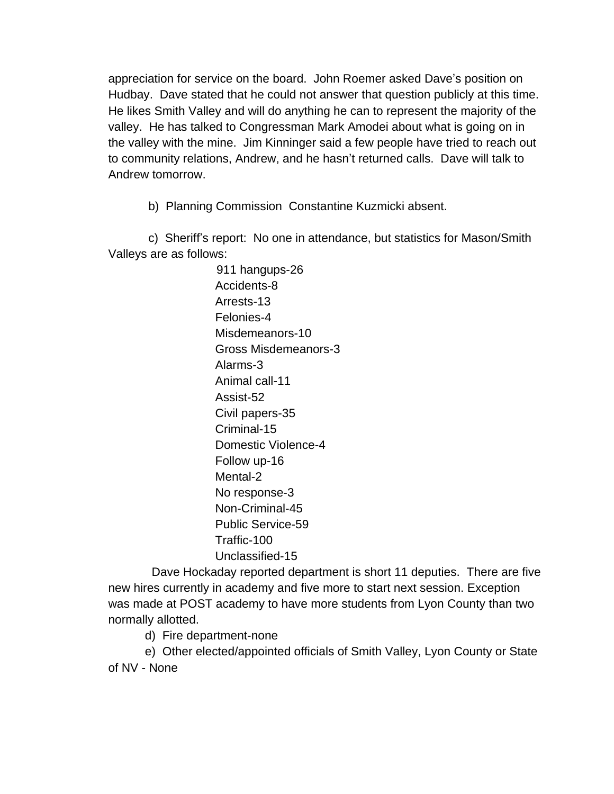appreciation for service on the board. John Roemer asked Dave's position on Hudbay. Dave stated that he could not answer that question publicly at this time. He likes Smith Valley and will do anything he can to represent the majority of the valley. He has talked to Congressman Mark Amodei about what is going on in the valley with the mine. Jim Kinninger said a few people have tried to reach out to community relations, Andrew, and he hasn't returned calls. Dave will talk to Andrew tomorrow.

b) Planning Commission Constantine Kuzmicki absent.

 c) Sheriff's report: No one in attendance, but statistics for Mason/Smith Valleys are as follows:

> 911 hangups-26 Accidents-8 Arrests-13 Felonies-4 Misdemeanors-10 Gross Misdemeanors-3 Alarms-3 Animal call-11 Assist-52 Civil papers-35 Criminal-15 Domestic Violence-4 Follow up-16 Mental-2 No response-3 Non-Criminal-45 Public Service-59 Traffic-100 Unclassified-15

 Dave Hockaday reported department is short 11 deputies. There are five new hires currently in academy and five more to start next session. Exception was made at POST academy to have more students from Lyon County than two normally allotted.

d) Fire department-none

 e) Other elected/appointed officials of Smith Valley, Lyon County or State of NV - None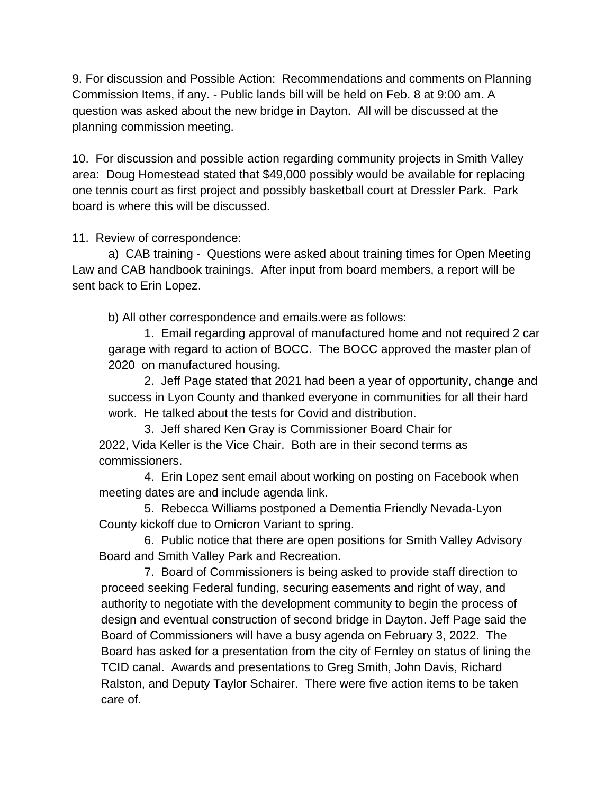9. For discussion and Possible Action: Recommendations and comments on Planning Commission Items, if any. - Public lands bill will be held on Feb. 8 at 9:00 am. A question was asked about the new bridge in Dayton. All will be discussed at the planning commission meeting.

10. For discussion and possible action regarding community projects in Smith Valley area: Doug Homestead stated that \$49,000 possibly would be available for replacing one tennis court as first project and possibly basketball court at Dressler Park. Park board is where this will be discussed.

11. Review of correspondence:

a) CAB training - Questions were asked about training times for Open Meeting Law and CAB handbook trainings. After input from board members, a report will be sent back to Erin Lopez.

b) All other correspondence and emails.were as follows:

1. Email regarding approval of manufactured home and not required 2 car garage with regard to action of BOCC. The BOCC approved the master plan of 2020 on manufactured housing.

2. Jeff Page stated that 2021 had been a year of opportunity, change and success in Lyon County and thanked everyone in communities for all their hard work. He talked about the tests for Covid and distribution.

3. Jeff shared Ken Gray is Commissioner Board Chair for 2022, Vida Keller is the Vice Chair. Both are in their second terms as commissioners.

4. Erin Lopez sent email about working on posting on Facebook when meeting dates are and include agenda link.

5. Rebecca Williams postponed a Dementia Friendly Nevada-Lyon County kickoff due to Omicron Variant to spring.

6. Public notice that there are open positions for Smith Valley Advisory Board and Smith Valley Park and Recreation.

7. Board of Commissioners is being asked to provide staff direction to proceed seeking Federal funding, securing easements and right of way, and authority to negotiate with the development community to begin the process of design and eventual construction of second bridge in Dayton. Jeff Page said the Board of Commissioners will have a busy agenda on February 3, 2022. The Board has asked for a presentation from the city of Fernley on status of lining the TCID canal. Awards and presentations to Greg Smith, John Davis, Richard Ralston, and Deputy Taylor Schairer. There were five action items to be taken care of.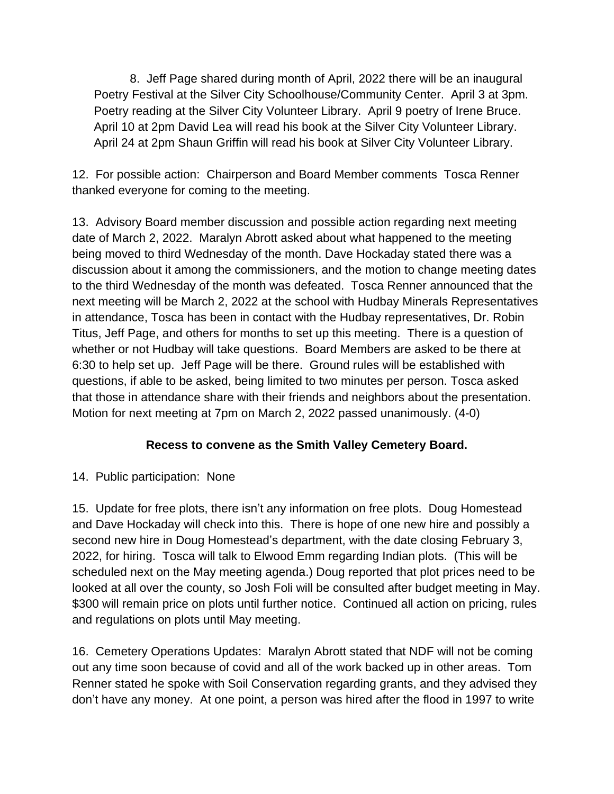8. Jeff Page shared during month of April, 2022 there will be an inaugural Poetry Festival at the Silver City Schoolhouse/Community Center. April 3 at 3pm. Poetry reading at the Silver City Volunteer Library. April 9 poetry of Irene Bruce. April 10 at 2pm David Lea will read his book at the Silver City Volunteer Library. April 24 at 2pm Shaun Griffin will read his book at Silver City Volunteer Library.

12. For possible action: Chairperson and Board Member comments Tosca Renner thanked everyone for coming to the meeting.

13. Advisory Board member discussion and possible action regarding next meeting date of March 2, 2022. Maralyn Abrott asked about what happened to the meeting being moved to third Wednesday of the month. Dave Hockaday stated there was a discussion about it among the commissioners, and the motion to change meeting dates to the third Wednesday of the month was defeated. Tosca Renner announced that the next meeting will be March 2, 2022 at the school with Hudbay Minerals Representatives in attendance, Tosca has been in contact with the Hudbay representatives, Dr. Robin Titus, Jeff Page, and others for months to set up this meeting. There is a question of whether or not Hudbay will take questions. Board Members are asked to be there at 6:30 to help set up. Jeff Page will be there. Ground rules will be established with questions, if able to be asked, being limited to two minutes per person. Tosca asked that those in attendance share with their friends and neighbors about the presentation. Motion for next meeting at 7pm on March 2, 2022 passed unanimously. (4-0)

## **Recess to convene as the Smith Valley Cemetery Board.**

14. Public participation: None

15. Update for free plots, there isn't any information on free plots. Doug Homestead and Dave Hockaday will check into this. There is hope of one new hire and possibly a second new hire in Doug Homestead's department, with the date closing February 3, 2022, for hiring. Tosca will talk to Elwood Emm regarding Indian plots. (This will be scheduled next on the May meeting agenda.) Doug reported that plot prices need to be looked at all over the county, so Josh Foli will be consulted after budget meeting in May. \$300 will remain price on plots until further notice. Continued all action on pricing, rules and regulations on plots until May meeting.

16. Cemetery Operations Updates: Maralyn Abrott stated that NDF will not be coming out any time soon because of covid and all of the work backed up in other areas. Tom Renner stated he spoke with Soil Conservation regarding grants, and they advised they don't have any money. At one point, a person was hired after the flood in 1997 to write